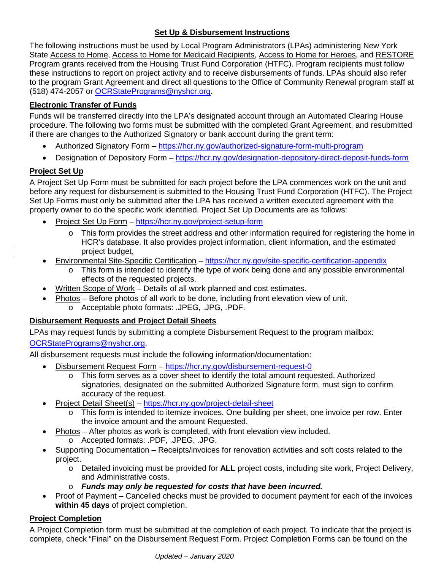# **Set Up & Disbursement Instructions**

The following instructions must be used by Local Program Administrators (LPAs) administering New York State Access to Home, Access to Home for Medicaid Recipients, Access to Home for Heroes, and RESTORE Program grants received from the Housing Trust Fund Corporation (HTFC). Program recipients must follow these instructions to report on project activity and to receive disbursements of funds. LPAs should also refer to the program Grant Agreement and direct all questions to the Office of Community Renewal program staff at (518) 474-2057 or [OCRStatePrograms@nyshcr.org.](mailto:OCRStatePrograms@nyshcr.org)

# **Electronic Transfer of Funds**

Funds will be transferred directly into the LPA's designated account through an Automated Clearing House procedure. The following two forms must be submitted with the completed Grant Agreement, and resubmitted if there are changes to the Authorized Signatory or bank account during the grant term:

- Authorized Signatory Form <https://hcr.ny.gov/authorized-signature-form-multi-program>
- Designation of Depository Form <https://hcr.ny.gov/designation-depository-direct-deposit-funds-form>

# **Project Set Up**

A Project Set Up Form must be submitted for each project before the LPA commences work on the unit and before any request for disbursement is submitted to the Housing Trust Fund Corporation (HTFC). The Project Set Up Forms must only be submitted after the LPA has received a written executed agreement with the property owner to do the specific work identified. Project Set Up Documents are as follows:

- Project Set Up Form <https://hcr.ny.gov/project-setup-form>
	- o This form provides the street address and other information required for registering the home in HCR's database. It also provides project information, client information, and the estimated project budget.
- Environmental Site-Specific Certification <https://hcr.ny.gov/site-specific-certification-appendix>
	- o This form is intended to identify the type of work being done and any possible environmental effects of the requested projects.
- Written Scope of Work Details of all work planned and cost estimates.
- Photos Before photos of all work to be done, including front elevation view of unit. o Acceptable photo formats: .JPEG, .JPG, .PDF.

### **Disbursement Requests and Project Detail Sheets**

LPAs may request funds by submitting a complete Disbursement Request to the program mailbox:

#### [OCRStatePrograms@nyshcr.org.](mailto:OCRStatePrograms@nyshcr.org)

All disbursement requests must include the following information/documentation:

- Disbursement Request Form <https://hcr.ny.gov/disbursement-request-0>
	- o This form serves as a cover sheet to identify the total amount requested. Authorized signatories, designated on the submitted Authorized Signature form, must sign to confirm accuracy of the request.
	- Project Detail Sheet(s) <https://hcr.ny.gov/project-detail-sheet>
		- o This form is intended to itemize invoices. One building per sheet, one invoice per row. Enter the invoice amount and the amount Requested.
	- Photos After photos as work is completed, with front elevation view included.
		- o Accepted formats: .PDF, .JPEG, .JPG.
	- Supporting Documentation Receipts/invoices for renovation activities and soft costs related to the project.
		- o Detailed invoicing must be provided for **ALL** project costs, including site work, Project Delivery, and Administrative costs.
		- o *Funds may only be requested for costs that have been incurred.*
	- Proof of Payment Cancelled checks must be provided to document payment for each of the invoices **within 45 days** of project completion.

### **Project Completion**

A Project Completion form must be submitted at the completion of each project. To indicate that the project is complete, check "Final" on the Disbursement Request Form. Project Completion Forms can be found on the